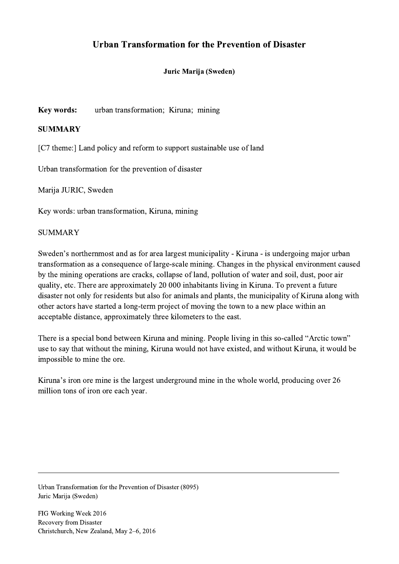## Urban Transformation for the Prevention of Disaster

## Juric Marija (Sweden)

Key words: urban transformation; Kiruna; mining

## **SUMMARY**

[C7 theme:] Land policy and reform to support sustainable use of land

Urban transformation for the prevention of disaster

Marija JURIC, Sweden

Key words: urban transformation, Kiruna, mining

## SUMMARY

Sweden's northernmost and as for area largest municipality - Kiruna - is undergoing major urban transformation as a consequence of large-scale mining. Changes in the physical environment caused by the mining operations are cracks, collapse of land, pollution of water and soil, dust, poor air quality, etc. There are approximately 20 000 inhabitants living in Kiruna. To prevent a future disaster not only for residents but also for animals and plants, the municipality of Kiruna along with other actors have started a long-term project of moving the town to a new place within an acceptable distance, approximately three kilometers to the east.

There is a special bond between Kiruna and mining. People living in this so-called "Arctic town" use to say that without the mining, Kiruna would not have existed, and without Kiruna, it would be impossible to mine the ore.

Kiruna's iron ore mine is the largest underground mine in the whole world, producing over 26 million tons of iron ore each year.

 $\mathcal{L}_\mathcal{L} = \{ \mathcal{L}_\mathcal{L} = \{ \mathcal{L}_\mathcal{L} = \{ \mathcal{L}_\mathcal{L} = \{ \mathcal{L}_\mathcal{L} = \{ \mathcal{L}_\mathcal{L} = \{ \mathcal{L}_\mathcal{L} = \{ \mathcal{L}_\mathcal{L} = \{ \mathcal{L}_\mathcal{L} = \{ \mathcal{L}_\mathcal{L} = \{ \mathcal{L}_\mathcal{L} = \{ \mathcal{L}_\mathcal{L} = \{ \mathcal{L}_\mathcal{L} = \{ \mathcal{L}_\mathcal{L} = \{ \mathcal{L}_\mathcal{$ 

Urban Transformation for the Prevention of Disaster (8095) Juric Marija (Sweden)

FIG Working Week 2016 Recovery from Disaster Christchurch, New Zealand, May 2–6, 2016